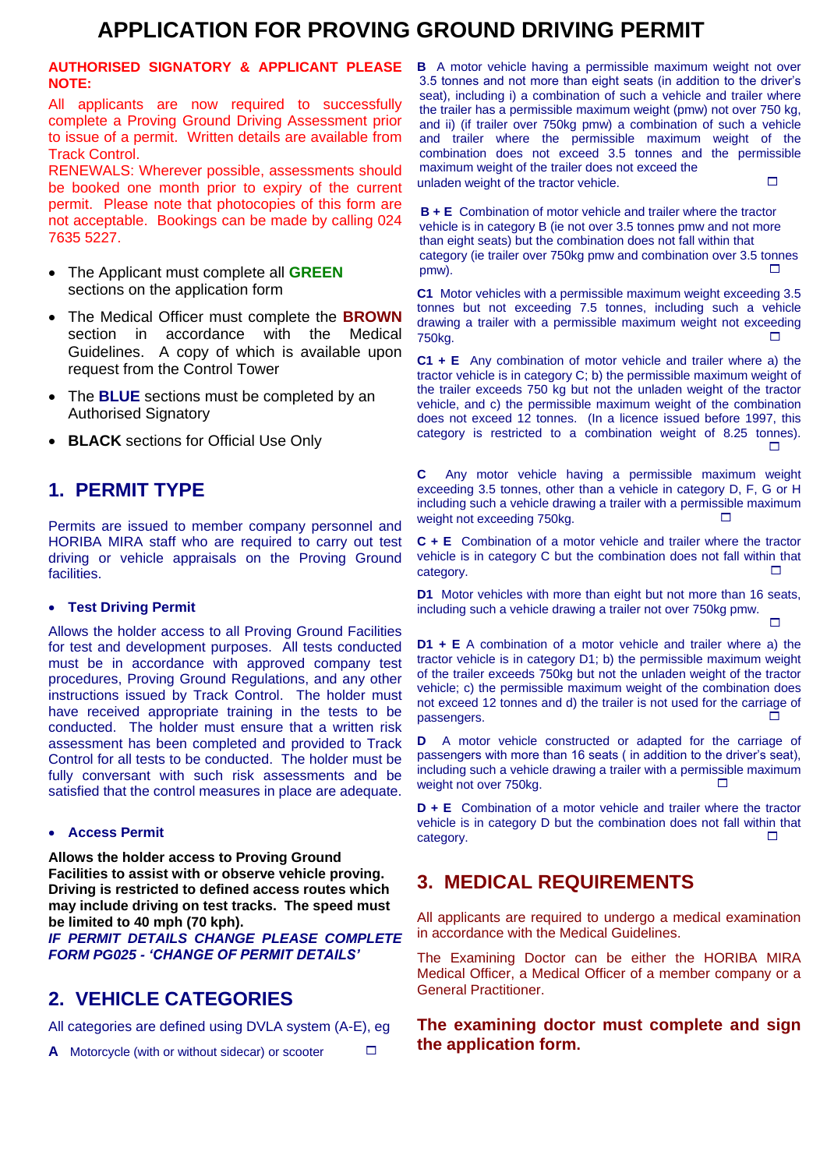## **APPLICATION FOR PROVING GROUND DRIVING PERMIT**

#### **AUTHORISED SIGNATORY & APPLICANT PLEASE NOTE:**

All applicants are now required to successfully complete a Proving Ground Driving Assessment prior to issue of a permit. Written details are available from Track Control.

RENEWALS: Wherever possible, assessments should be booked one month prior to expiry of the current permit. Please note that photocopies of this form are not acceptable. Bookings can be made by calling 024 7635 5227.

- The Applicant must complete all **GREEN** sections on the application form
- The Medical Officer must complete the **BROWN** section in accordance with the Medical Guidelines. A copy of which is available upon request from the Control Tower
- The **BLUE** sections must be completed by an Authorised Signatory
- **BLACK** sections for Official Use Only

### **1. PERMIT TYPE**

Permits are issued to member company personnel and HORIBA MIRA staff who are required to carry out test driving or vehicle appraisals on the Proving Ground facilities.

#### **Test Driving Permit**

Allows the holder access to all Proving Ground Facilities for test and development purposes. All tests conducted must be in accordance with approved company test procedures, Proving Ground Regulations, and any other instructions issued by Track Control. The holder must have received appropriate training in the tests to be conducted. The holder must ensure that a written risk assessment has been completed and provided to Track Control for all tests to be conducted. The holder must be fully conversant with such risk assessments and be satisfied that the control measures in place are adequate.

#### **Access Permit**

**Allows the holder access to Proving Ground Facilities to assist with or observe vehicle proving. Driving is restricted to defined access routes which may include driving on test tracks. The speed must be limited to 40 mph (70 kph).** 

*IF PERMIT DETAILS CHANGE PLEASE COMPLETE FORM PG025 - 'CHANGE OF PERMIT DETAILS'*

### **2. VEHICLE CATEGORIES**

All categories are defined using DVLA system (A-E), eg

**A** Motorcycle (with or without sidecar) or scooter

**B** A motor vehicle having a permissible maximum weight not over 3.5 tonnes and not more than eight seats (in addition to the driver's seat), including i) a combination of such a vehicle and trailer where the trailer has a permissible maximum weight (pmw) not over 750 kg, and ii) (if trailer over 750kg pmw) a combination of such a vehicle and trailer where the permissible maximum weight of the combination does not exceed 3.5 tonnes and the permissible maximum weight of the trailer does not exceed the unladen weight of the tractor vehicle.

**B + E** Combination of motor vehicle and trailer where the tractor vehicle is in category B (ie not over 3.5 tonnes pmw and not more than eight seats) but the combination does not fall within that category (ie trailer over 750kg pmw and combination over 3.5 tonnes  $p$ mw).

**C1** Motor vehicles with a permissible maximum weight exceeding 3.5 tonnes but not exceeding 7.5 tonnes, including such a vehicle drawing a trailer with a permissible maximum weight not exceeding  $750\text{kg}$ .

**C1 + E** Any combination of motor vehicle and trailer where a) the tractor vehicle is in category C; b) the permissible maximum weight of the trailer exceeds 750 kg but not the unladen weight of the tractor vehicle, and c) the permissible maximum weight of the combination does not exceed 12 tonnes. (In a licence issued before 1997, this category is restricted to a combination weight of 8.25 tonnes). П

**C** Any motor vehicle having a permissible maximum weight exceeding 3.5 tonnes, other than a vehicle in category D, F, G or H including such a vehicle drawing a trailer with a permissible maximum weight not exceeding 750kg.

**C + E** Combination of a motor vehicle and trailer where the tractor vehicle is in category C but the combination does not fall within that  $\Box$ category.

**D1** Motor vehicles with more than eight but not more than 16 seats, including such a vehicle drawing a trailer not over 750kg pmw.

**Contract Contract** 

**D1 + E** A combination of a motor vehicle and trailer where a) the tractor vehicle is in category D1; b) the permissible maximum weight of the trailer exceeds 750kg but not the unladen weight of the tractor vehicle; c) the permissible maximum weight of the combination does not exceed 12 tonnes and d) the trailer is not used for the carriage of passengers.

**D** A motor vehicle constructed or adapted for the carriage of passengers with more than 16 seats ( in addition to the driver's seat), including such a vehicle drawing a trailer with a permissible maximum weight not over 750kg.

**D + E** Combination of a motor vehicle and trailer where the tractor vehicle is in category D but the combination does not fall within that  $\Box$ category.

### **3. MEDICAL REQUIREMENTS**

All applicants are required to undergo a medical examination in accordance with the Medical Guidelines.

The Examining Doctor can be either the HORIBA MIRA Medical Officer, a Medical Officer of a member company or a General Practitioner.

### **The examining doctor must complete and sign the application form.**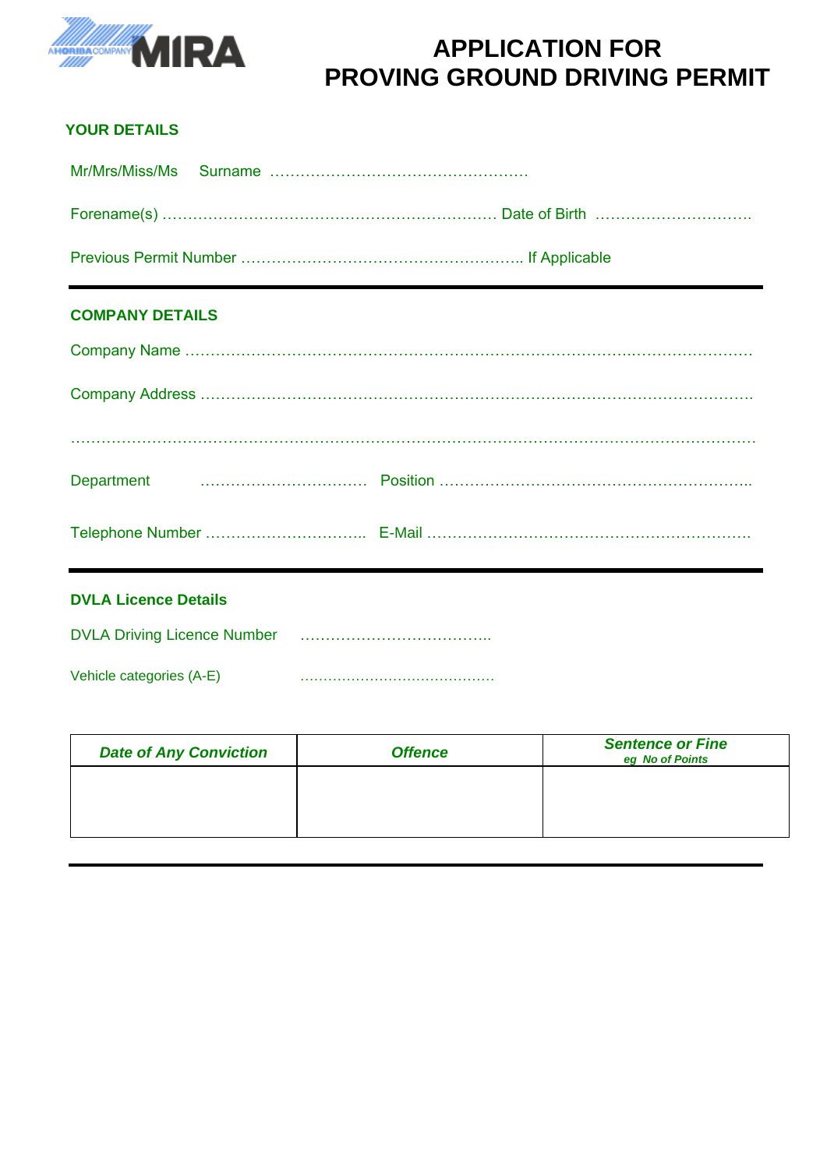

## **APPLICATION FOR PROVING GROUND DRIVING PERMIT**

### **YOUR DETAILS**

### **COMPANY DETAILS**

| Department <b>Example 2018</b> Contract Position (1) Position (1) Position (1) Position (1) Position (1) Position (1) Position (1) Position (1) Position (1) Position (1) Position (1) Position (1) Position (1) Position (1) Posit |
|-------------------------------------------------------------------------------------------------------------------------------------------------------------------------------------------------------------------------------------|
|                                                                                                                                                                                                                                     |

# **DVLA Licence Details**  DVLA Driving Licence Number **Engineer Manual** Vehicle categories (A-E) ……………………………………

| <b>Date of Any Conviction</b> | <b>Offence</b> | <b>Sentence or Fine</b><br>eg No of Points |
|-------------------------------|----------------|--------------------------------------------|
|                               |                |                                            |
|                               |                |                                            |
|                               |                |                                            |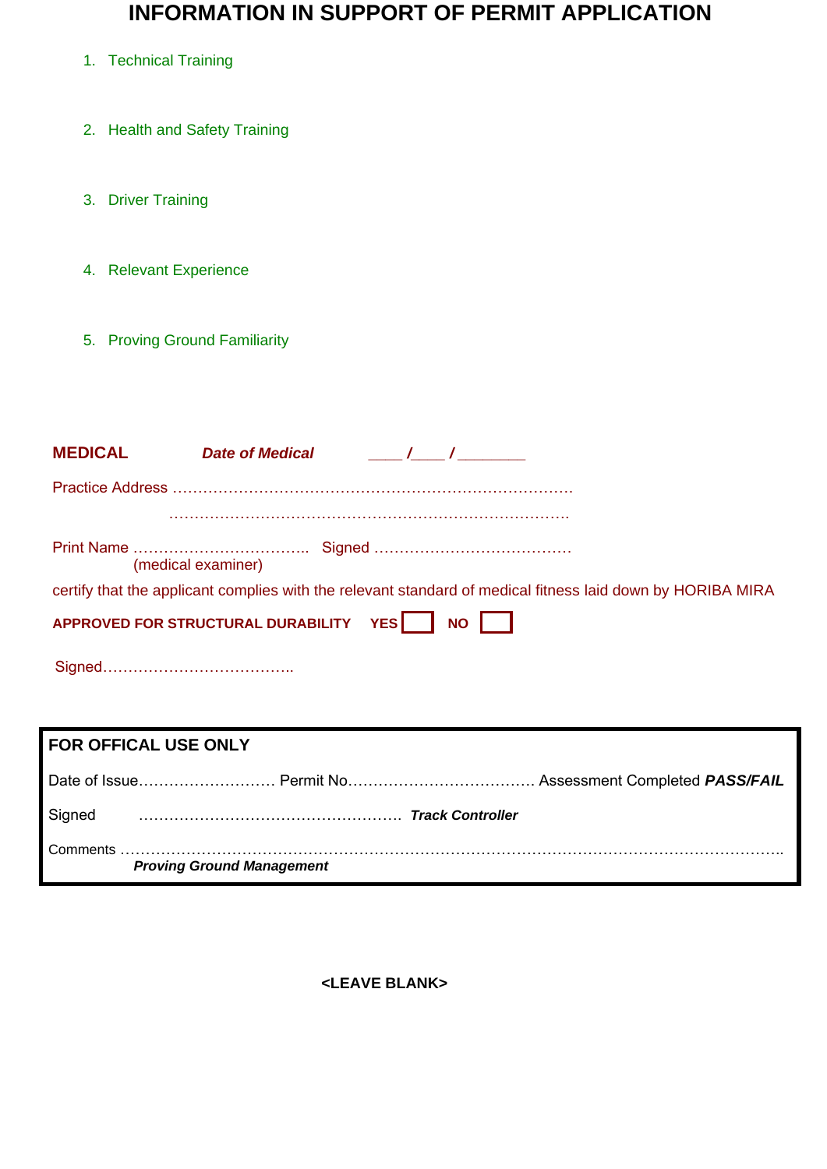## **INFORMATION IN SUPPORT OF PERMIT APPLICATION**

- 1. Technical Training
- 2. Health and Safety Training
- 3. Driver Training
- 4. Relevant Experience
- 5. Proving Ground Familiarity

| <b>MEDICAL</b>     | Date of Medical Theory Assembly Assembly                                                                   |
|--------------------|------------------------------------------------------------------------------------------------------------|
|                    |                                                                                                            |
|                    |                                                                                                            |
| (medical examiner) |                                                                                                            |
|                    | certify that the applicant complies with the relevant standard of medical fitness laid down by HORIBA MIRA |
|                    | APPROVED FOR STRUCTURAL DURABILITY YES NO                                                                  |
|                    |                                                                                                            |

# **FOR OFFICAL USE ONLY** Date of Issue……………………… Permit No………………………………. Assessment Completed *PASS/FAIL*  Signed ……………………………………………. *Track Controller* Comments ………………………………………………………………………………………………………………….. *Proving Ground Management*

**<LEAVE BLANK>**